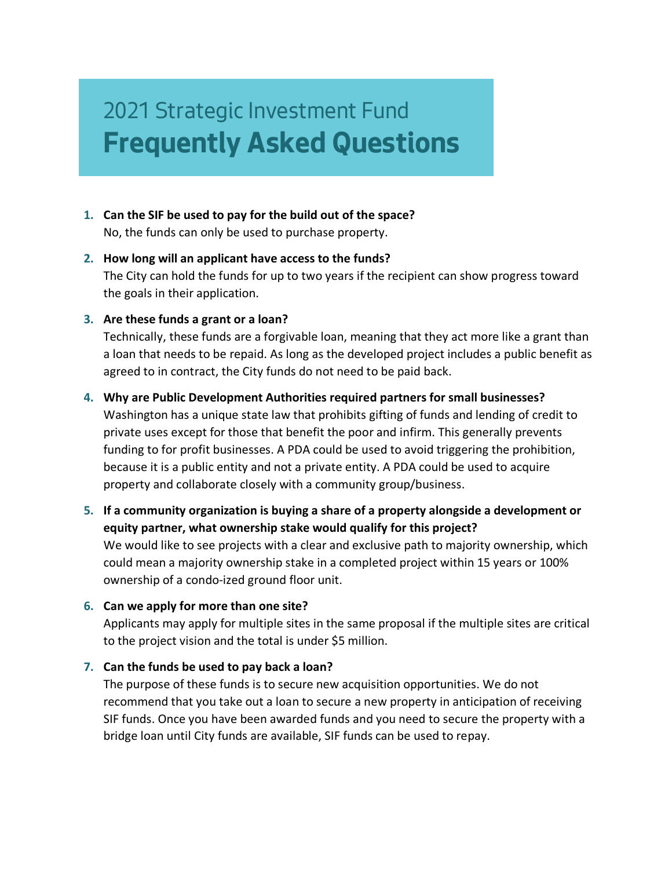# 2021 Strategic Investment Fund **Frequently Asked Questions**

- **1. Can the SIF be used to pay for the build out of the space?** No, the funds can only be used to purchase property.
- **2. How long will an applicant have access to the funds?** The City can hold the funds for up to two years if the recipient can show progress toward the goals in their application.
- **3. Are these funds a grant or a loan?**

Technically, these funds are a forgivable loan, meaning that they act more like a grant than a loan that needs to be repaid. As long as the developed project includes a public benefit as agreed to in contract, the City funds do not need to be paid back.

#### **4. Why are Public Development Authorities required partners for small businesses?**

Washington has a unique state law that prohibits gifting of funds and lending of credit to private uses except for those that benefit the poor and infirm. This generally prevents funding to for profit businesses. A PDA could be used to avoid triggering the prohibition, because it is a public entity and not a private entity. A PDA could be used to acquire property and collaborate closely with a community group/business.

**5. If a community organization is buying a share of a property alongside a development or equity partner, what ownership stake would qualify for this project?**

We would like to see projects with a clear and exclusive path to majority ownership, which could mean a majority ownership stake in a completed project within 15 years or 100% ownership of a condo-ized ground floor unit.

#### **6. Can we apply for more than one site?**

Applicants may apply for multiple sites in the same proposal if the multiple sites are critical to the project vision and the total is under \$5 million.

#### **7. Can the funds be used to pay back a loan?**

The purpose of these funds is to secure new acquisition opportunities. We do not recommend that you take out a loan to secure a new property in anticipation of receiving SIF funds. Once you have been awarded funds and you need to secure the property with a bridge loan until City funds are available, SIF funds can be used to repay.